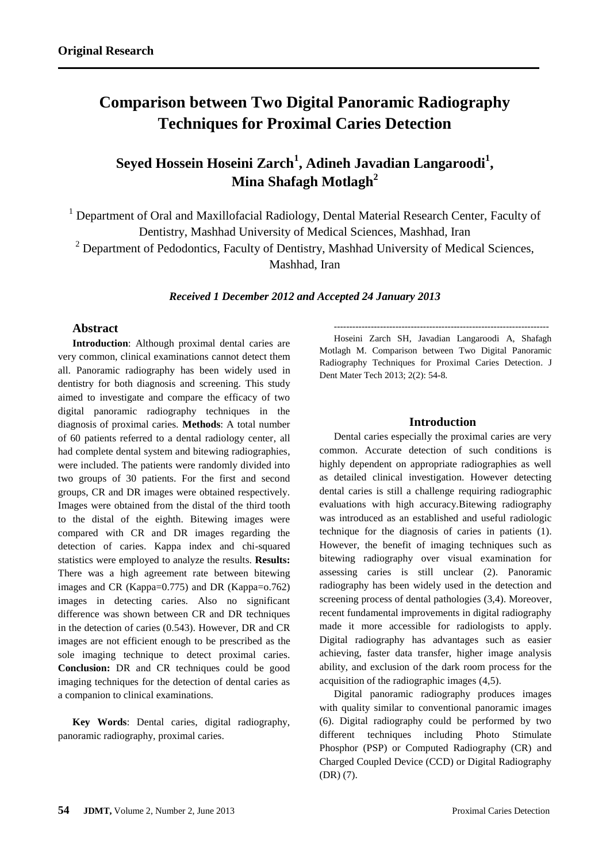# **Comparison between Two Digital Panoramic Radiography Techniques for Proximal Caries Detection**

# **Seyed Hossein Hoseini Zarch<sup>1</sup> , Adineh Javadian Langaroodi<sup>1</sup> , Mina Shafagh Motlagh<sup>2</sup>**

<sup>1</sup> Department of Oral and Maxillofacial Radiology, Dental Material Research Center, Faculty of Dentistry, Mashhad University of Medical Sciences, Mashhad, Iran  $2$  Department of Pedodontics, Faculty of Dentistry, Mashhad University of Medical Sciences, Mashhad, Iran

*Received 1 December 2012 and Accepted 24 January 2013*

# **Abstract**

**Introduction**: Although proximal dental caries are very common, clinical examinations cannot detect them all. Panoramic radiography has been widely used in dentistry for both diagnosis and screening. This study aimed to investigate and compare the efficacy of two digital panoramic radiography techniques in the diagnosis of proximal caries. **Methods**: A total number of 60 patients referred to a dental radiology center, all had complete dental system and bitewing radiographies, were included. The patients were randomly divided into two groups of 30 patients. For the first and second groups, CR and DR images were obtained respectively. Images were obtained from the distal of the third tooth to the distal of the eighth. Bitewing images were compared with CR and DR images regarding the detection of caries. Kappa index and chi-squared statistics were employed to analyze the results. **Results:**  There was a high agreement rate between bitewing images and CR (Kappa=0.775) and DR (Kappa=o.762) images in detecting caries. Also no significant difference was shown between CR and DR techniques in the detection of caries (0.543). However, DR and CR images are not efficient enough to be prescribed as the sole imaging technique to detect proximal caries. **Conclusion:** DR and CR techniques could be good imaging techniques for the detection of dental caries as a companion to clinical examinations.

**Key Words**: Dental caries, digital radiography, panoramic radiography, proximal caries.

---------------------------------------------------------------------- Hoseini Zarch SH, Javadian Langaroodi A, Shafagh Motlagh M. Comparison between Two Digital Panoramic Radiography Techniques for Proximal Caries Detection. J Dent Mater Tech 2013; 2(2): 54-8.

# **Introduction**

Dental caries especially the proximal caries are very common. Accurate detection of such conditions is highly dependent on appropriate radiographies as well as detailed clinical investigation. However detecting dental caries is still a challenge requiring radiographic evaluations with high accuracy.Bitewing radiography was introduced as an established and useful radiologic technique for the diagnosis of caries in patients (1). However, the benefit of imaging techniques such as bitewing radiography over visual examination for assessing caries is still unclear (2). Panoramic radiography has been widely used in the detection and screening process of dental pathologies (3,4). Moreover, recent fundamental improvements in digital radiography made it more accessible for radiologists to apply. Digital radiography has advantages such as easier achieving, faster data transfer, higher image analysis ability, and exclusion of the dark room process for the acquisition of the radiographic images (4,5).

Digital panoramic radiography produces images with quality similar to conventional panoramic images (6). Digital radiography could be performed by two different techniques including Photo Stimulate Phosphor (PSP) or Computed Radiography (CR) and Charged Coupled Device (CCD) or Digital Radiography (DR) (7).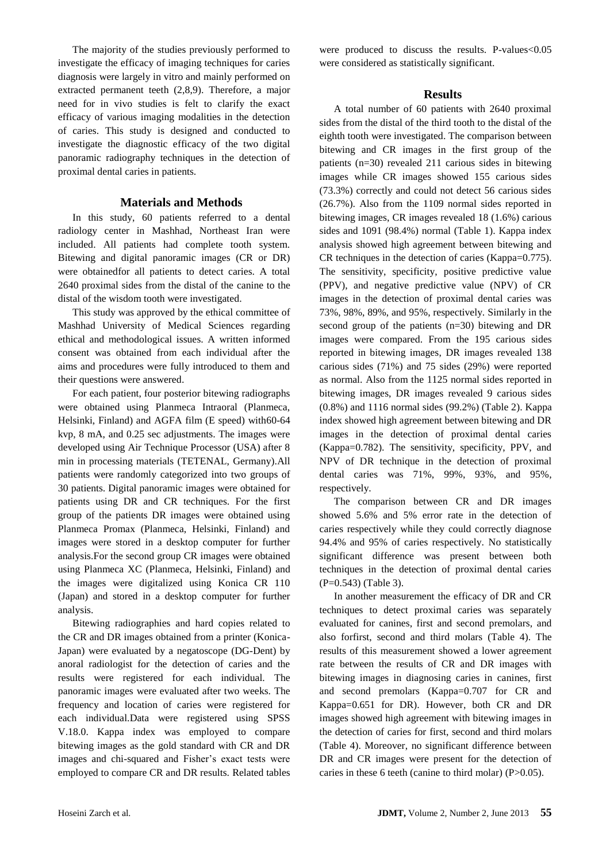The majority of the studies previously performed to investigate the efficacy of imaging techniques for caries diagnosis were largely in vitro and mainly performed on extracted permanent teeth (2,8,9). Therefore, a major need for in vivo studies is felt to clarify the exact efficacy of various imaging modalities in the detection of caries. This study is designed and conducted to investigate the diagnostic efficacy of the two digital panoramic radiography techniques in the detection of proximal dental caries in patients.

# **Materials and Methods**

In this study, 60 patients referred to a dental radiology center in Mashhad, Northeast Iran were included. All patients had complete tooth system. Bitewing and digital panoramic images (CR or DR) were obtainedfor all patients to detect caries. A total 2640 proximal sides from the distal of the canine to the distal of the wisdom tooth were investigated.

This study was approved by the ethical committee of Mashhad University of Medical Sciences regarding ethical and methodological issues. A written informed consent was obtained from each individual after the aims and procedures were fully introduced to them and their questions were answered.

For each patient, four posterior bitewing radiographs were obtained using Planmeca Intraoral (Planmeca, Helsinki, Finland) and AGFA film (E speed) with60-64 kvp, 8 mA, and 0.25 sec adjustments. The images were developed using Air Technique Processor (USA) after 8 min in processing materials (TETENAL, Germany).All patients were randomly categorized into two groups of 30 patients. Digital panoramic images were obtained for patients using DR and CR techniques. For the first group of the patients DR images were obtained using Planmeca Promax (Planmeca, Helsinki, Finland) and images were stored in a desktop computer for further analysis.For the second group CR images were obtained using Planmeca XC (Planmeca, Helsinki, Finland) and the images were digitalized using Konica CR 110 (Japan) and stored in a desktop computer for further analysis.

Bitewing radiographies and hard copies related to the CR and DR images obtained from a printer (Konica-Japan) were evaluated by a negatoscope (DG-Dent) by anoral radiologist for the detection of caries and the results were registered for each individual. The panoramic images were evaluated after two weeks. The frequency and location of caries were registered for each individual.Data were registered using SPSS V.18.0. Kappa index was employed to compare bitewing images as the gold standard with CR and DR images and chi-squared and Fisher's exact tests were employed to compare CR and DR results. Related tables were produced to discuss the results. P-values<0.05 were considered as statistically significant.

#### **Results**

A total number of 60 patients with 2640 proximal sides from the distal of the third tooth to the distal of the eighth tooth were investigated. The comparison between bitewing and CR images in the first group of the patients (n=30) revealed 211 carious sides in bitewing images while CR images showed 155 carious sides (73.3%) correctly and could not detect 56 carious sides (26.7%). Also from the 1109 normal sides reported in bitewing images, CR images revealed 18 (1.6%) carious sides and 1091 (98.4%) normal (Table 1). Kappa index analysis showed high agreement between bitewing and CR techniques in the detection of caries (Kappa=0.775). The sensitivity, specificity, positive predictive value (PPV), and negative predictive value (NPV) of CR images in the detection of proximal dental caries was 73%, 98%, 89%, and 95%, respectively. Similarly in the second group of the patients (n=30) bitewing and DR images were compared. From the 195 carious sides reported in bitewing images, DR images revealed 138 carious sides (71%) and 75 sides (29%) were reported as normal. Also from the 1125 normal sides reported in bitewing images, DR images revealed 9 carious sides (0.8%) and 1116 normal sides (99.2%) (Table 2). Kappa index showed high agreement between bitewing and DR images in the detection of proximal dental caries (Kappa=0.782). The sensitivity, specificity, PPV, and NPV of DR technique in the detection of proximal dental caries was 71%, 99%, 93%, and 95%, respectively.

The comparison between CR and DR images showed 5.6% and 5% error rate in the detection of caries respectively while they could correctly diagnose 94.4% and 95% of caries respectively. No statistically significant difference was present between both techniques in the detection of proximal dental caries (P=0.543) (Table 3).

In another measurement the efficacy of DR and CR techniques to detect proximal caries was separately evaluated for canines, first and second premolars, and also forfirst, second and third molars (Table 4). The results of this measurement showed a lower agreement rate between the results of CR and DR images with bitewing images in diagnosing caries in canines, first and second premolars (Kappa=0.707 for CR and Kappa=0.651 for DR). However, both CR and DR images showed high agreement with bitewing images in the detection of caries for first, second and third molars (Table 4). Moreover, no significant difference between DR and CR images were present for the detection of caries in these 6 teeth (canine to third molar) (P>0.05).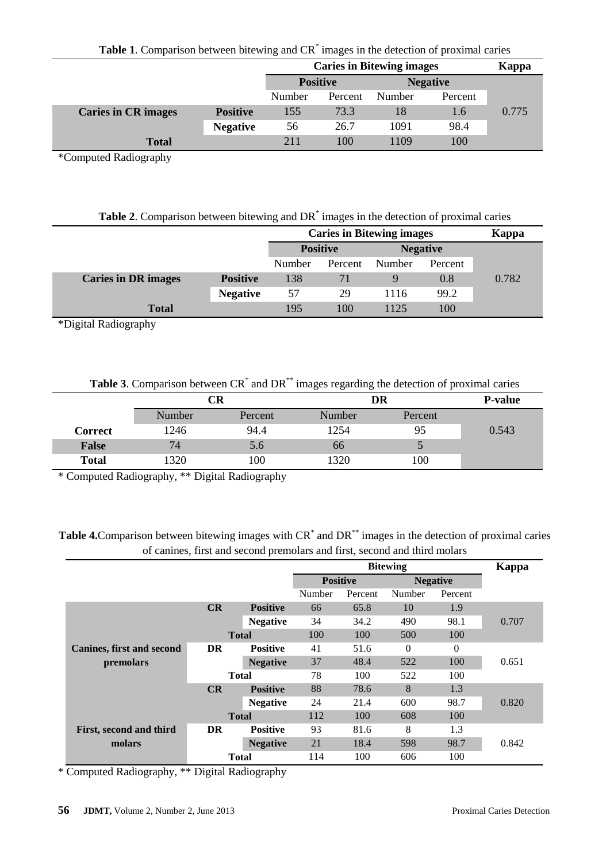**Table 1**. Comparison between bitewing and CR\* images in the detection of proximal caries

|                            |                 | <b>Caries in Bitewing images</b> | Kappa           |                 |         |       |
|----------------------------|-----------------|----------------------------------|-----------------|-----------------|---------|-------|
|                            |                 |                                  | <b>Positive</b> | <b>Negative</b> |         |       |
|                            |                 | Number                           | Percent         | Number          | Percent |       |
| <b>Caries in CR images</b> | <b>Positive</b> | 155                              | 73.3            | 18              | 1.6     | 0.775 |
|                            | <b>Negative</b> | 56                               | 26.7            | 1091            | 98.4    |       |
| <b>Total</b>               |                 | 211                              | 100             | 1109            | 100     |       |

\*Computed Radiography

| <b>Table 2.</b> Comparison between bitewing and DR <sup>*</sup> images in the detection of proximal caries |  |  |
|------------------------------------------------------------------------------------------------------------|--|--|
|                                                                                                            |  |  |

|                            |                 | <b>Caries in Bitewing images</b> | Kappa   |                 |         |       |
|----------------------------|-----------------|----------------------------------|---------|-----------------|---------|-------|
|                            |                 | <b>Positive</b>                  |         | <b>Negative</b> |         |       |
|                            |                 | Number                           | Percent | Number          | Percent |       |
| <b>Caries in DR images</b> | <b>Positive</b> | 138                              | 71      | Q               | 0.8     | 0.782 |
|                            | <b>Negative</b> | 57                               | 29      | 1116            | 99.2    |       |
| <b>Total</b>               |                 | 195                              | 100     | 1125            | 100     |       |

\*Digital Radiography

|  | Table 3. Comparison between CR <sup>*</sup> and DR <sup>**</sup> images regarding the detection of proximal caries |  |
|--|--------------------------------------------------------------------------------------------------------------------|--|
|--|--------------------------------------------------------------------------------------------------------------------|--|

|              |        | CR      |        | DR      |       |  |
|--------------|--------|---------|--------|---------|-------|--|
|              | Number | Percent | Number | Percent |       |  |
| Correct      | 1246   | 94.4    | 1254   | 95      | 0.543 |  |
| <b>False</b> | 74     | 5.6     | 66     |         |       |  |
| <b>Total</b> | 1320   | 100     | 1320   | 100     |       |  |

\* Computed Radiography, \*\* Digital Radiography

Table 4. Comparison between bitewing images with CR<sup>\*</sup> and DR<sup>\*\*</sup> images in the detection of proximal caries of canines, first and second premolars and first, second and third molars

|                                  |           |                 | <b>Bitewing</b> |         |                 |          | Kappa |
|----------------------------------|-----------|-----------------|-----------------|---------|-----------------|----------|-------|
|                                  |           |                 | <b>Positive</b> |         | <b>Negative</b> |          |       |
|                                  |           |                 | Number          | Percent | Number          | Percent  |       |
|                                  | CR        | <b>Positive</b> | 66              | 65.8    | 10              | 1.9      |       |
|                                  |           | <b>Negative</b> | 34              | 34.2    | 490             | 98.1     | 0.707 |
|                                  |           | <b>Total</b>    | 100             | 100     | 500             | 100      |       |
| <b>Canines, first and second</b> | <b>DR</b> | <b>Positive</b> | 41              | 51.6    | $\Omega$        | $\Omega$ |       |
| premolars                        |           | <b>Negative</b> | 37              | 48.4    | 522             | 100      | 0.651 |
|                                  |           | <b>Total</b>    | 78              | 100     | 522             | 100      |       |
|                                  | CR        | <b>Positive</b> | 88              | 78.6    | 8               | 1.3      |       |
|                                  |           | <b>Negative</b> | 24              | 21.4    | 600             | 98.7     | 0.820 |
|                                  |           | <b>Total</b>    | 112             | 100     | 608             | 100      |       |
| First, second and third          | DR        | <b>Positive</b> | 93              | 81.6    | 8               | 1.3      |       |
| molars                           |           | <b>Negative</b> | 21              | 18.4    | 598             | 98.7     | 0.842 |
|                                  |           | <b>Total</b>    | 114             | 100     | 606             | 100      |       |

\* Computed Radiography, \*\* Digital Radiography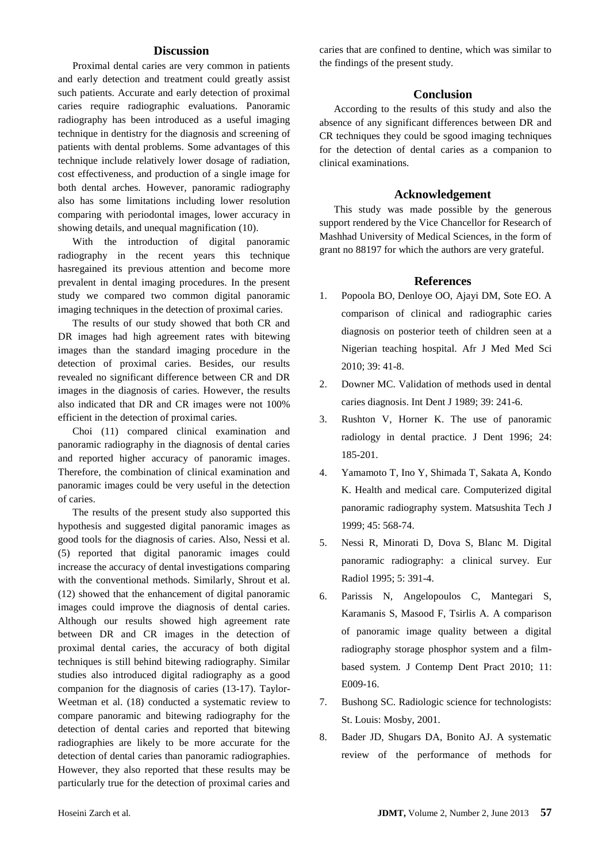# **Discussion**

Proximal dental caries are very common in patients and early detection and treatment could greatly assist such patients. Accurate and early detection of proximal caries require radiographic evaluations. Panoramic radiography has been introduced as a useful imaging technique in dentistry for the diagnosis and screening of patients with dental problems. Some advantages of this technique include relatively lower dosage of radiation, cost effectiveness, and production of a single image for both dental arches. However, panoramic radiography also has some limitations including lower resolution comparing with periodontal images, lower accuracy in showing details, and unequal magnification (10).

With the introduction of digital panoramic radiography in the recent years this technique hasregained its previous attention and become more prevalent in dental imaging procedures. In the present study we compared two common digital panoramic imaging techniques in the detection of proximal caries.

The results of our study showed that both CR and DR images had high agreement rates with bitewing images than the standard imaging procedure in the detection of proximal caries. Besides, our results revealed no significant difference between CR and DR images in the diagnosis of caries. However, the results also indicated that DR and CR images were not 100% efficient in the detection of proximal caries.

Choi (11) compared clinical examination and panoramic radiography in the diagnosis of dental caries and reported higher accuracy of panoramic images. Therefore, the combination of clinical examination and panoramic images could be very useful in the detection of caries.

The results of the present study also supported this hypothesis and suggested digital panoramic images as good tools for the diagnosis of caries. Also, Nessi et al. (5) reported that digital panoramic images could increase the accuracy of dental investigations comparing with the conventional methods. Similarly, Shrout et al. (12) showed that the enhancement of digital panoramic images could improve the diagnosis of dental caries. Although our results showed high agreement rate between DR and CR images in the detection of proximal dental caries, the accuracy of both digital techniques is still behind bitewing radiography. Similar studies also introduced digital radiography as a good companion for the diagnosis of caries (13-17). Taylor-Weetman et al. (18) conducted a systematic review to compare panoramic and bitewing radiography for the detection of dental caries and reported that bitewing radiographies are likely to be more accurate for the detection of dental caries than panoramic radiographies. However, they also reported that these results may be particularly true for the detection of proximal caries and

caries that are confined to dentine, which was similar to the findings of the present study.

### **Conclusion**

According to the results of this study and also the absence of any significant differences between DR and CR techniques they could be sgood imaging techniques for the detection of dental caries as a companion to clinical examinations.

### **Acknowledgement**

This study was made possible by the generous support rendered by the Vice Chancellor for Research of Mashhad University of Medical Sciences, in the form of grant no 88197 for which the authors are very grateful.

#### **References**

- 1. Popoola BO, Denloye OO, Ajayi DM, Sote EO. A comparison of clinical and radiographic caries diagnosis on posterior teeth of children seen at a Nigerian teaching hospital. Afr J Med Med Sci 2010; 39: 41-8.
- 2. Downer MC. Validation of methods used in dental caries diagnosis. Int Dent J 1989; 39: 241-6.
- 3. Rushton V, Horner K. The use of panoramic radiology in dental practice. J Dent 1996; 24: 185-201.
- 4. Yamamoto T, Ino Y, Shimada T, Sakata A, Kondo K. Health and medical care. Computerized digital panoramic radiography system. Matsushita Tech J 1999; 45: 568-74.
- 5. Nessi R, Minorati D, Dova S, Blanc M. Digital panoramic radiography: a clinical survey. Eur Radiol 1995; 5: 391-4.
- 6. Parissis N, Angelopoulos C, Mantegari S, Karamanis S, Masood F, Tsirlis A. A comparison of panoramic image quality between a digital radiography storage phosphor system and a filmbased system. J Contemp Dent Pract 2010; 11: E009-16.
- 7. Bushong SC. Radiologic science for technologists: St. Louis: Mosby, 2001.
- 8. Bader JD, Shugars DA, Bonito AJ. A systematic review of the performance of methods for